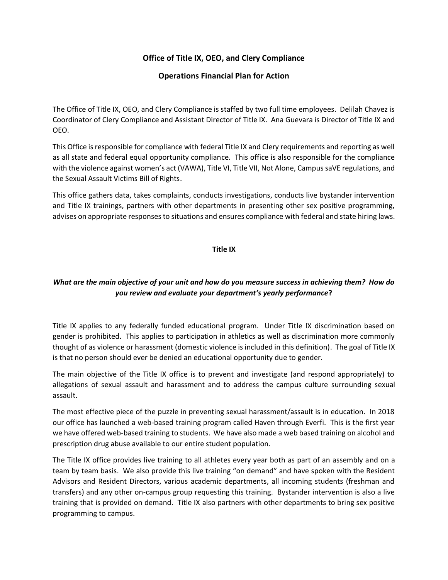# **Office of Title IX, OEO, and Clery Compliance**

### **Operations Financial Plan for Action**

The Office of Title IX, OEO, and Clery Compliance is staffed by two full time employees. Delilah Chavez is Coordinator of Clery Compliance and Assistant Director of Title IX. Ana Guevara is Director of Title IX and OEO.

This Office is responsible for compliance with federal Title IX and Clery requirements and reporting as well as all state and federal equal opportunity compliance. This office is also responsible for the compliance with the violence against women's act (VAWA), Title VI, Title VII, Not Alone, Campus saVE regulations, and the Sexual Assault Victims Bill of Rights.

This office gathers data, takes complaints, conducts investigations, conducts live bystander intervention and Title IX trainings, partners with other departments in presenting other sex positive programming, advises on appropriate responses to situations and ensures compliance with federal and state hiring laws.

#### **Title IX**

# *What are the main objective of your unit and how do you measure success in achieving them? How do you review and evaluate your department's yearly performance***?**

Title IX applies to any federally funded educational program. Under Title IX discrimination based on gender is prohibited. This applies to participation in athletics as well as discrimination more commonly thought of as violence or harassment (domestic violence is included in this definition). The goal of Title IX is that no person should ever be denied an educational opportunity due to gender.

The main objective of the Title IX office is to prevent and investigate (and respond appropriately) to allegations of sexual assault and harassment and to address the campus culture surrounding sexual assault.

The most effective piece of the puzzle in preventing sexual harassment/assault is in education. In 2018 our office has launched a web-based training program called Haven through Everfi. This is the first year we have offered web-based training to students. We have also made a web based training on alcohol and prescription drug abuse available to our entire student population.

The Title IX office provides live training to all athletes every year both as part of an assembly and on a team by team basis. We also provide this live training "on demand" and have spoken with the Resident Advisors and Resident Directors, various academic departments, all incoming students (freshman and transfers) and any other on-campus group requesting this training. Bystander intervention is also a live training that is provided on demand. Title IX also partners with other departments to bring sex positive programming to campus.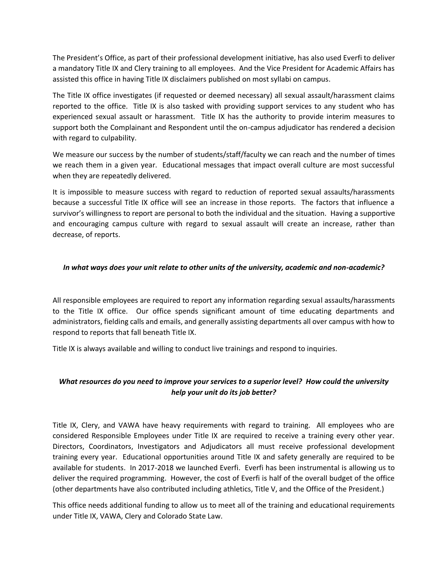The President's Office, as part of their professional development initiative, has also used Everfi to deliver a mandatory Title IX and Clery training to all employees. And the Vice President for Academic Affairs has assisted this office in having Title IX disclaimers published on most syllabi on campus.

The Title IX office investigates (if requested or deemed necessary) all sexual assault/harassment claims reported to the office. Title IX is also tasked with providing support services to any student who has experienced sexual assault or harassment. Title IX has the authority to provide interim measures to support both the Complainant and Respondent until the on-campus adjudicator has rendered a decision with regard to culpability.

We measure our success by the number of students/staff/faculty we can reach and the number of times we reach them in a given year. Educational messages that impact overall culture are most successful when they are repeatedly delivered.

It is impossible to measure success with regard to reduction of reported sexual assaults/harassments because a successful Title IX office will see an increase in those reports. The factors that influence a survivor's willingness to report are personal to both the individual and the situation. Having a supportive and encouraging campus culture with regard to sexual assault will create an increase, rather than decrease, of reports.

### *In what ways does your unit relate to other units of the university, academic and non-academic?*

All responsible employees are required to report any information regarding sexual assaults/harassments to the Title IX office. Our office spends significant amount of time educating departments and administrators, fielding calls and emails, and generally assisting departments all over campus with how to respond to reports that fall beneath Title IX.

Title IX is always available and willing to conduct live trainings and respond to inquiries.

### *What resources do you need to improve your services to a superior level? How could the university help your unit do its job better?*

Title IX, Clery, and VAWA have heavy requirements with regard to training. All employees who are considered Responsible Employees under Title IX are required to receive a training every other year. Directors, Coordinators, Investigators and Adjudicators all must receive professional development training every year. Educational opportunities around Title IX and safety generally are required to be available for students. In 2017-2018 we launched Everfi. Everfi has been instrumental is allowing us to deliver the required programming. However, the cost of Everfi is half of the overall budget of the office (other departments have also contributed including athletics, Title V, and the Office of the President.)

This office needs additional funding to allow us to meet all of the training and educational requirements under Title IX, VAWA, Clery and Colorado State Law.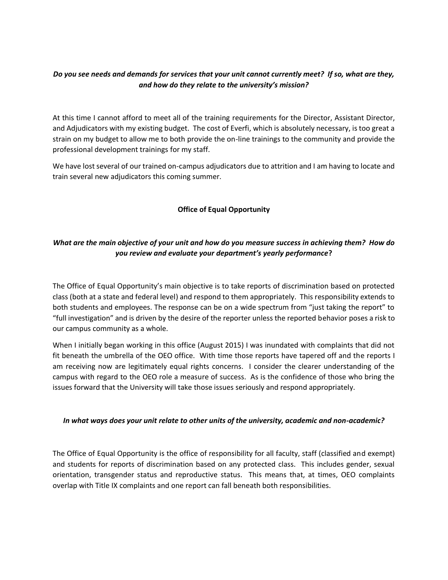### *Do you see needs and demands for services that your unit cannot currently meet? If so, what are they, and how do they relate to the university's mission?*

At this time I cannot afford to meet all of the training requirements for the Director, Assistant Director, and Adjudicators with my existing budget. The cost of Everfi, which is absolutely necessary, is too great a strain on my budget to allow me to both provide the on-line trainings to the community and provide the professional development trainings for my staff.

We have lost several of our trained on-campus adjudicators due to attrition and I am having to locate and train several new adjudicators this coming summer.

### **Office of Equal Opportunity**

# *What are the main objective of your unit and how do you measure success in achieving them? How do you review and evaluate your department's yearly performance***?**

The Office of Equal Opportunity's main objective is to take reports of discrimination based on protected class (both at a state and federal level) and respond to them appropriately. This responsibility extends to both students and employees. The response can be on a wide spectrum from "just taking the report" to "full investigation" and is driven by the desire of the reporter unless the reported behavior poses a risk to our campus community as a whole.

When I initially began working in this office (August 2015) I was inundated with complaints that did not fit beneath the umbrella of the OEO office. With time those reports have tapered off and the reports I am receiving now are legitimately equal rights concerns. I consider the clearer understanding of the campus with regard to the OEO role a measure of success. As is the confidence of those who bring the issues forward that the University will take those issues seriously and respond appropriately.

#### *In what ways does your unit relate to other units of the university, academic and non-academic?*

The Office of Equal Opportunity is the office of responsibility for all faculty, staff (classified and exempt) and students for reports of discrimination based on any protected class. This includes gender, sexual orientation, transgender status and reproductive status. This means that, at times, OEO complaints overlap with Title IX complaints and one report can fall beneath both responsibilities.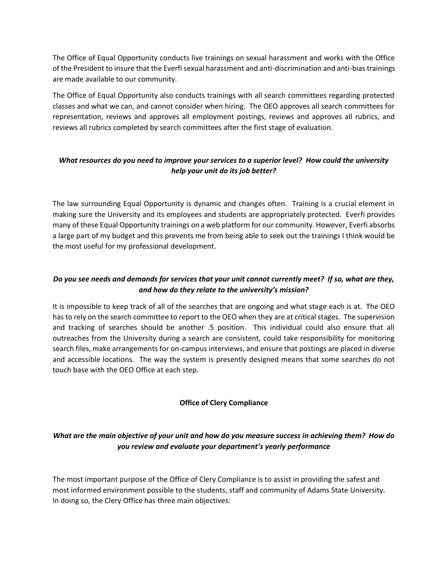The Office of Equal Opportunity conducts live trainings on sexual harassment and works with the Office of the President to insure that the Everfi sexual harassment and anti-discrimination and anti-bias trainings are made available to our community.

The Office of Equal Opportunity also conducts trainings with all search committees regarding protected classes and what we can, and cannot consider when hiring. The OEO approves all search committees for representation, reviews and approves all employment postings, reviews and approves all rubrics, and reviews all rubrics completed by search committees after the first stage of evaluation.

# *What resources do you need to improve your services to a superior level? How could the university help your unit do its job better?*

The law surrounding Equal Opportunity is dynamic and changes often. Training is a crucial element in making sure the University and its employees and students are appropriately protected. Everfi provides many of these Equal Opportunity trainings on a web platform for our community. However, Everfi absorbs a large part of my budget and this prevents me from being able to seek out the trainings I think would be the most useful for my professional development.

# *Do you see needs and demands for services that your unit cannot currently meet? If so, what are they, and how do they relate to the university's mission?*

It is impossible to keep track of all of the searches that are ongoing and what stage each is at. The OEO has to rely on the search committee to report to the OEO when they are at critical stages. The supervision and tracking of searches should be another .5 position. This individual could also ensure that all outreaches from the University during a search are consistent, could take responsibility for monitoring search files, make arrangements for on-campus interviews, and ensure that postings are placed in diverse and accessible locations. The way the system is presently designed means that some searches do not touch base with the OEO Office at each step.

### **Office of Clery Compliance**

# *What are the main objective of your unit and how do you measure success in achieving them? How do you review and evaluate your department's yearly performance*

The most important purpose of the Office of Clery Compliance is to assist in providing the safest and most informed environment possible to the students, staff and community of Adams State University. In doing so, the Clery Office has three main objectives: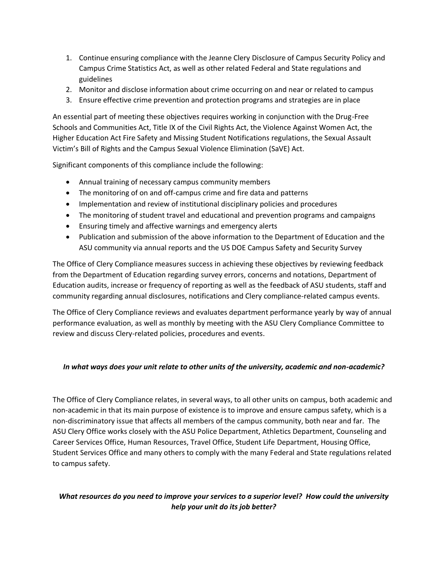- 1. Continue ensuring compliance with the Jeanne Clery Disclosure of Campus Security Policy and Campus Crime Statistics Act, as well as other related Federal and State regulations and guidelines
- 2. Monitor and disclose information about crime occurring on and near or related to campus
- 3. Ensure effective crime prevention and protection programs and strategies are in place

An essential part of meeting these objectives requires working in conjunction with the Drug-Free Schools and Communities Act, Title IX of the Civil Rights Act, the Violence Against Women Act, the Higher Education Act Fire Safety and Missing Student Notifications regulations, the Sexual Assault Victim's Bill of Rights and the Campus Sexual Violence Elimination (SaVE) Act.

Significant components of this compliance include the following:

- Annual training of necessary campus community members
- The monitoring of on and off-campus crime and fire data and patterns
- Implementation and review of institutional disciplinary policies and procedures
- The monitoring of student travel and educational and prevention programs and campaigns
- Ensuring timely and affective warnings and emergency alerts
- Publication and submission of the above information to the Department of Education and the ASU community via annual reports and the US DOE Campus Safety and Security Survey

The Office of Clery Compliance measures success in achieving these objectives by reviewing feedback from the Department of Education regarding survey errors, concerns and notations, Department of Education audits, increase or frequency of reporting as well as the feedback of ASU students, staff and community regarding annual disclosures, notifications and Clery compliance-related campus events.

The Office of Clery Compliance reviews and evaluates department performance yearly by way of annual performance evaluation, as well as monthly by meeting with the ASU Clery Compliance Committee to review and discuss Clery-related policies, procedures and events.

### *In what ways does your unit relate to other units of the university, academic and non-academic?*

The Office of Clery Compliance relates, in several ways, to all other units on campus, both academic and non-academic in that its main purpose of existence is to improve and ensure campus safety, which is a non-discriminatory issue that affects all members of the campus community, both near and far. The ASU Clery Office works closely with the ASU Police Department, Athletics Department, Counseling and Career Services Office, Human Resources, Travel Office, Student Life Department, Housing Office, Student Services Office and many others to comply with the many Federal and State regulations related to campus safety.

# *What resources do you need to improve your services to a superior level? How could the university help your unit do its job better?*